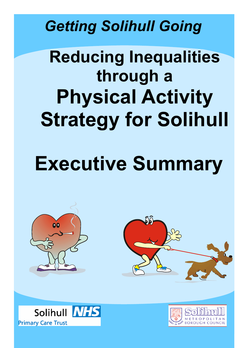### *Getting Solihull Going*

## **Reducing Inequalities through a Physical Activity Strategy for Solihull**

# **Executive Summary**





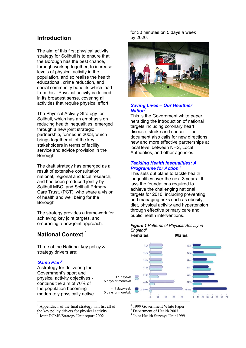#### **Introduction**

The aim of this first physical activity strategy for Solihull is to ensure that the Borough has the best chance, through working together, to increase levels of physical activity in the population, and so realise the health, educational, crime reduction, and social community benefits which lead from this. Physical activity is defined in its broadest sense, covering all activities that require physical effort.

The Physical Activity Strategy for Solihull, which has an emphasis on reducing health inequalities, emerged through a new joint strategic partnership, formed in 2003, which brings together all of the key stakeholders in terms of facility, service and advice provision in the Borough.

The draft strategy has emerged as a result of extensive consultation, national, regional and local research, and has been produced jointly by Solihull MBC, and Solihull Primary Care Trust, (PCT), who share a vision of health and well being for the Borough.

The strategy provides a framework for achieving key joint targets, and embracing a new joint approach.

### **National Context** [1](#page-1-0)

Three of the National key policy & strategy drivers are:

#### *Game Plan[2](#page-1-1)*

 $\overline{a}$ 

A strategy for delivering the Government's sport and physical activity objectives contains the aim of 70% of the population becoming moderately physically active

for 30 minutes on 5 days a week by 2020.



#### *Saving Lives – Our Healthier Nation[3](#page-1-2)*

This is the Government white paper heralding the introduction of national targets including coronary heart disease, stroke and cancer. The document also calls for new directions, new and more effective partnerships at local level between NHS, Local Authorities, and other agencies.

#### *Tackling Health Inequalities: A Programme for Action* [4](#page-1-3)

This sets out plans to tackle health inequalities over the next 3 years. It lays the foundations required to achieve the challenging national targets for 2010, including preventing and managing risks such as obesity, diet, physical activity and hypertension through effective primary care and public health interventions.

#### *Figure 1 Patterns of Physical Activity in England[5](#page-1-4)* **Females Males**



<span id="page-1-0"></span><sup>1</sup> Appendix 1 of the final strategy will list all of the key policy drivers for physical activity

<span id="page-1-1"></span><sup>2</sup> Joint DCMS/Strategy Unit report 2002

<span id="page-1-2"></span><sup>3</sup> 1999 Government White Paper

<span id="page-1-3"></span><sup>4</sup> Department of Health 2003

<span id="page-1-4"></span><sup>5</sup> Joint Health Surveys Unit 1999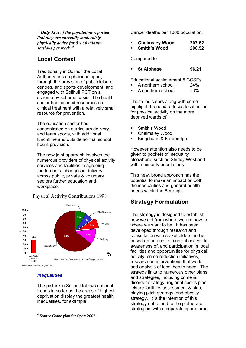*"Only 32% of the population reported that they are currently moderately physically active for 5 x 30 minute sessions per week"[6](#page-2-0)*

#### **Local Context**

Traditionally in Solihull the Local Authority has emphasised sport, through the provision of public leisure centres, and sports development, and engaged with Solihull PCT on a scheme by scheme basis. The health sector has focused resources on clinical treatment with a relatively small resource for prevention.

The education sector has concentrated on curriculum delivery, and team sports, with additional lunchtime and outside normal school hours provision.

The new joint approach involves the numerous providers of physical activity services and facilities in agreeing fundamental changes in delivery across public, private & voluntary sectors further education and workplace.

Physical Activity Contributions 1998



#### *Inequalities*

 $\overline{a}$ 

The picture in Solihull follows national trends in so far as the areas of highest deprivation display the greatest health inequalities, for example:

Cancer deaths per 1000 population:

| <b>Chelmsley Wood</b> | 207.62 |
|-----------------------|--------|
| <b>Smith's Wood</b>   | 208.52 |

Compared to:

**St Alphege 96.21**

Educational achievement 5 GCSEs

- A northern school 24%
- A southern school 73%

These indicators along with crime highlight the need to focus local action for physical activity on the more deprived wards of:

- Smith's Wood
- Chelmsley Wood
- Kingshurst & Fordbridge

However attention also needs to be given to pockets of inequality elsewhere, such as Shirley West and within minority populations.

This new, broad approach has the potential to make an impact on both the inequalities and general health needs within the Borough.

#### **Strategy Formulation**

The strategy is designed to establish how we get from where we are now to where we want to be. It has been developed through research and consultation with stakeholders and is based on an audit of current access to, awareness of, and participation in local facilities and opportunities for physical activity, crime reduction initiatives, research on interventions that work and analysis of local health need. The strategy links to numerous other plans and strategies, including crime & disorder strategy, regional sports plan, leisure facilities assessment & plan, playing pitch strategy, and obesity strategy. It is the intention of this strategy not to add to the plethora of strategies, with a separate sports area,

<span id="page-2-0"></span><sup>6</sup> Source Game plan for Sport 2002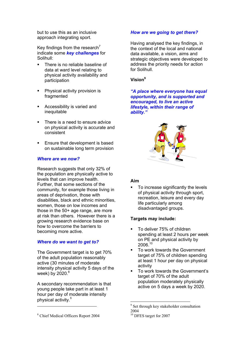but to use this as an inclusive approach integrating sport.

Key findings from the research<sup>7</sup> indicate some *key challenges* for Solihull:

- There is no reliable baseline of data at ward level relating to physical activity availability and participation
- **Physical activity provision is** fragmented
- **Accessibility is varied and** inequitable
- There is a need to ensure advice on physical activity is accurate and consistent
- Ensure that development is based on sustainable long term provision

#### *Where are we now?*

Research suggests that only 32% of the population are physically active to levels that can improve health. Further, that some sections of the community, for example those living in areas of deprivation, those with disabilities, black and ethnic minorities, women, those on low incomes and those in the 50+ age range, are more at risk than others. However there is a growing research evidence base on how to overcome the barriers to becoming more active.

#### *Where do we want to get to?*

The Government target is to get 70% of the adult population reasonably active (30 minutes of moderate intensity physical activity 5 days of the week) by  $2020.<sup>8</sup>$  $2020.<sup>8</sup>$  $2020.<sup>8</sup>$ 

A secondary recommendation is that young people take part in at least 1 hour per day of moderate intensity physical activity.<sup>8</sup>

#### *How are we going to get there?*

Having analysed the key findings, in the context of the local and national data available, a vision, aims and strategic objectives were developed to address the priority needs for action for Solihull.

#### **Vision[9](#page-3-2)**

*"A place where everyone has equal opportunity, and is supported and encouraged, to live an active lifestyle, within their range of ability."*



#### **Aim**

 To increase significantly the levels of physical activity through sport, recreation, leisure and every day life particularly among disadvantaged groups.

#### **Targets may include:**

- To deliver 75% of children spending at least 2 hours per week on PE and physical activity by 2006.[10](#page-3-3)
- To work towards the Government target of 75% of children spending at least 1 hour per day on physical activity
- To work towards the Government's target of 70% of the adult population moderately physically active on 5 days a week by 2020.

 $\overline{a}$ 

 $\overline{a}$ 

<span id="page-3-2"></span><sup>&</sup>lt;sup>9</sup> Set through key stakeholder consultation 2004

<span id="page-3-3"></span><sup>10</sup> DFES target for 2007

<span id="page-3-1"></span><span id="page-3-0"></span><sup>8</sup> Chief Medical Officers Report 2004